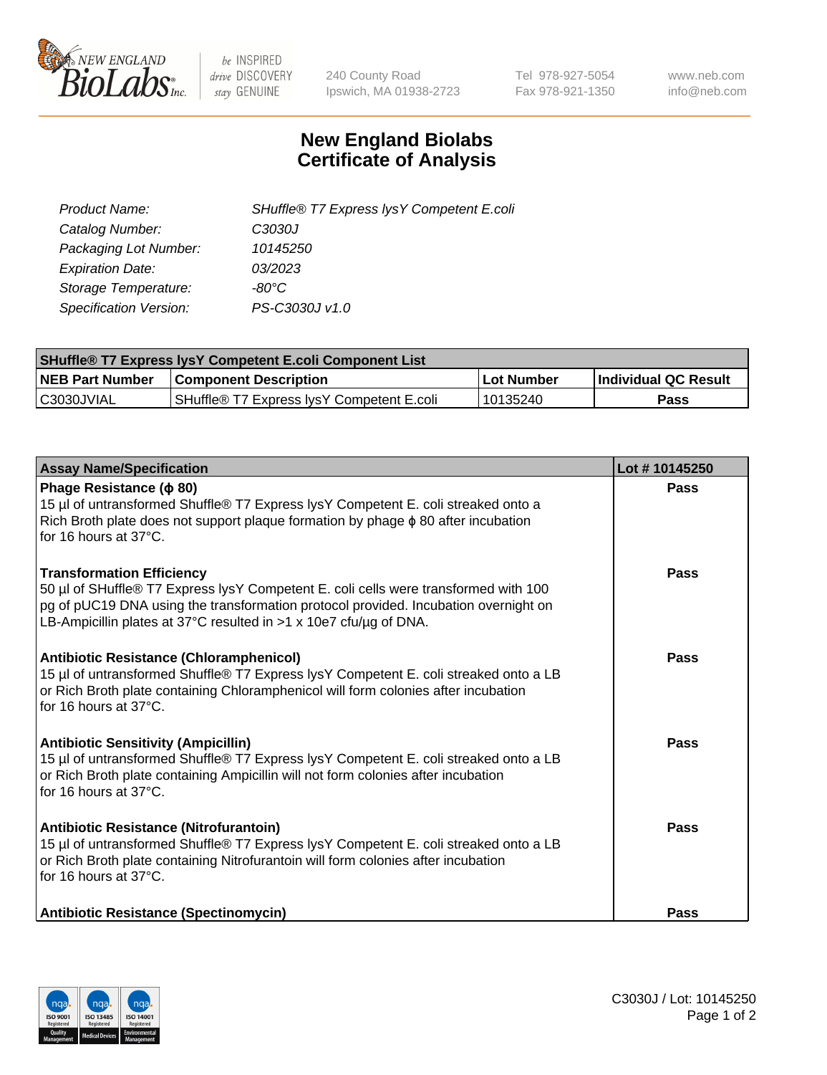

 $be$  INSPIRED drive DISCOVERY stay GENUINE

240 County Road Ipswich, MA 01938-2723 Tel 978-927-5054 Fax 978-921-1350 www.neb.com info@neb.com

## **New England Biolabs Certificate of Analysis**

| SHuffle® T7 Express lysY Competent E.coli |
|-------------------------------------------|
| C3030J                                    |
| 10145250                                  |
| 03/2023                                   |
| -80°C                                     |
| PS-C3030J v1.0                            |
|                                           |

| <b>SHuffle® T7 Express lysY Competent E.coli Component List</b> |                                           |                   |                             |  |
|-----------------------------------------------------------------|-------------------------------------------|-------------------|-----------------------------|--|
| <b>NEB Part Number</b>                                          | <b>Component Description</b>              | <b>Lot Number</b> | <b>Individual QC Result</b> |  |
| C3030JVIAL                                                      | SHuffle® T7 Express IysY Competent E.coli | 10135240          | Pass                        |  |

| <b>Assay Name/Specification</b>                                                                                                                                                                                                                                                     | Lot #10145250 |
|-------------------------------------------------------------------------------------------------------------------------------------------------------------------------------------------------------------------------------------------------------------------------------------|---------------|
| Phage Resistance ( $\phi$ 80)<br>15 µl of untransformed Shuffle® T7 Express lysY Competent E. coli streaked onto a<br>Rich Broth plate does not support plaque formation by phage $\phi$ 80 after incubation<br>for 16 hours at 37°C.                                               | Pass          |
| <b>Transformation Efficiency</b><br>50 µl of SHuffle® T7 Express lysY Competent E. coli cells were transformed with 100<br>pg of pUC19 DNA using the transformation protocol provided. Incubation overnight on<br>LB-Ampicillin plates at 37°C resulted in >1 x 10e7 cfu/ug of DNA. | Pass          |
| Antibiotic Resistance (Chloramphenicol)<br>15 µl of untransformed Shuffle® T7 Express lysY Competent E. coli streaked onto a LB<br>or Rich Broth plate containing Chloramphenicol will form colonies after incubation<br>for 16 hours at 37°C.                                      | Pass          |
| <b>Antibiotic Sensitivity (Ampicillin)</b><br>15 µl of untransformed Shuffle® T7 Express lysY Competent E. coli streaked onto a LB<br>or Rich Broth plate containing Ampicillin will not form colonies after incubation<br>for 16 hours at 37°C.                                    | Pass          |
| Antibiotic Resistance (Nitrofurantoin)<br>15 µl of untransformed Shuffle® T7 Express lysY Competent E. coli streaked onto a LB<br>or Rich Broth plate containing Nitrofurantoin will form colonies after incubation<br>for 16 hours at 37°C.                                        | Pass          |
| Antibiotic Resistance (Spectinomycin)                                                                                                                                                                                                                                               | Pass          |